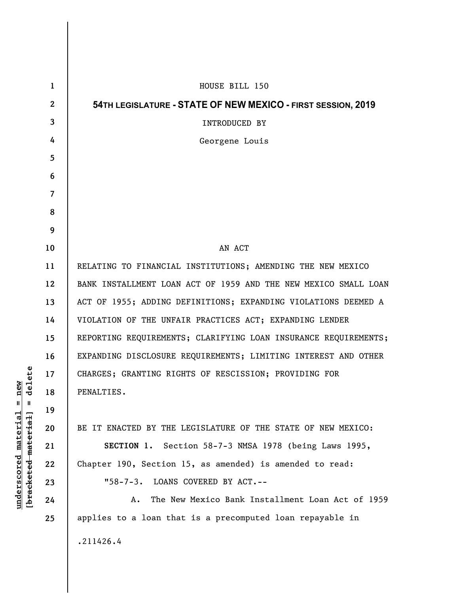| $\mathbf 1$  | HOUSE BILL 150                                                  |
|--------------|-----------------------------------------------------------------|
| $\mathbf{2}$ | 54TH LEGISLATURE - STATE OF NEW MEXICO - FIRST SESSION, 2019    |
| 3            | <b>INTRODUCED BY</b>                                            |
| 4            | Georgene Louis                                                  |
| 5            |                                                                 |
| 6            |                                                                 |
| 7            |                                                                 |
| 8            |                                                                 |
| 9            |                                                                 |
| 10           | AN ACT                                                          |
| 11           | RELATING TO FINANCIAL INSTITUTIONS; AMENDING THE NEW MEXICO     |
| 12           | BANK INSTALLMENT LOAN ACT OF 1959 AND THE NEW MEXICO SMALL LOAN |
| 13           | ACT OF 1955; ADDING DEFINITIONS; EXPANDING VIOLATIONS DEEMED A  |
| 14           | VIOLATION OF THE UNFAIR PRACTICES ACT; EXPANDING LENDER         |
| 15           | REPORTING REQUIREMENTS; CLARIFYING LOAN INSURANCE REQUIREMENTS; |
| 16           | EXPANDING DISCLOSURE REQUIREMENTS; LIMITING INTEREST AND OTHER  |
| 17           | CHARGES; GRANTING RIGHTS OF RESCISSION; PROVIDING FOR           |
| 18           | PENALTIES.                                                      |
| 19           |                                                                 |
| 20           | BE IT ENACTED BY THE LEGISLATURE OF THE STATE OF NEW MEXICO:    |
| 21           | SECTION 1. Section 58-7-3 NMSA 1978 (being Laws 1995,           |
| 22           | Chapter 190, Section 15, as amended) is amended to read:        |
| 23           | "58-7-3. LOANS COVERED BY ACT.--                                |
| 24           | The New Mexico Bank Installment Loan Act of 1959<br>А.          |
| 25           | applies to a loan that is a precomputed loan repayable in       |
|              | .211426.4                                                       |

**underscored material = new [bracketed material] = delete**

 $[bracketeed-materiat] = delete$  $underscored material = new$ 

 $\overline{\phantom{a}}$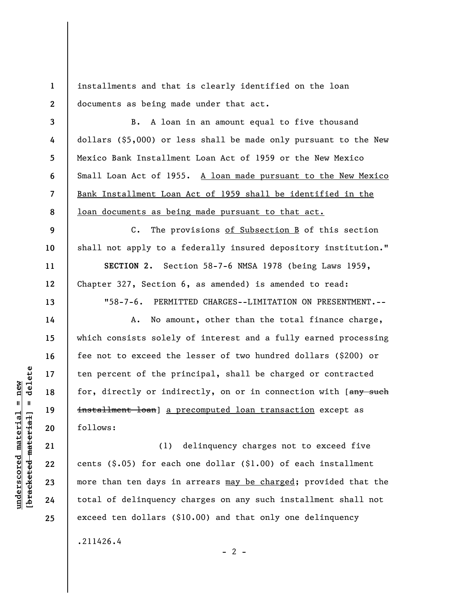**1 2**  installments and that is clearly identified on the loan documents as being made under that act.

**3 4 5 6 7 8**  B. A loan in an amount equal to five thousand dollars (\$5,000) or less shall be made only pursuant to the New Mexico Bank Installment Loan Act of 1959 or the New Mexico Small Loan Act of 1955. A loan made pursuant to the New Mexico Bank Installment Loan Act of 1959 shall be identified in the loan documents as being made pursuant to that act.

C. The provisions of Subsection B of this section shall not apply to a federally insured depository institution."

**SECTION 2.** Section 58-7-6 NMSA 1978 (being Laws 1959, Chapter 327, Section 6, as amended) is amended to read:

"58-7-6. PERMITTED CHARGES--LIMITATION ON PRESENTMENT.--

A. No amount, other than the total finance charge, which consists solely of interest and a fully earned processing fee not to exceed the lesser of two hundred dollars (\$200) or ten percent of the principal, shall be charged or contracted for, directly or indirectly, on or in connection with [any such installment loan] a precomputed loan transaction except as follows:

(1) delinquency charges not to exceed five cents (\$.05) for each one dollar (\$1.00) of each installment more than ten days in arrears may be charged; provided that the total of delinquency charges on any such installment shall not exceed ten dollars (\$10.00) and that only one delinquency

.211426.4

 $- 2 -$ 

 $\frac{1}{2}$  intereted material = delete **[bracketed material] = delete**  $underscored material = new$ **underscored material = new**

**9** 

**10** 

**11** 

**12** 

**13** 

**14** 

**15** 

**16** 

**17** 

**18** 

**19** 

**20** 

**21** 

**22** 

**23** 

**24**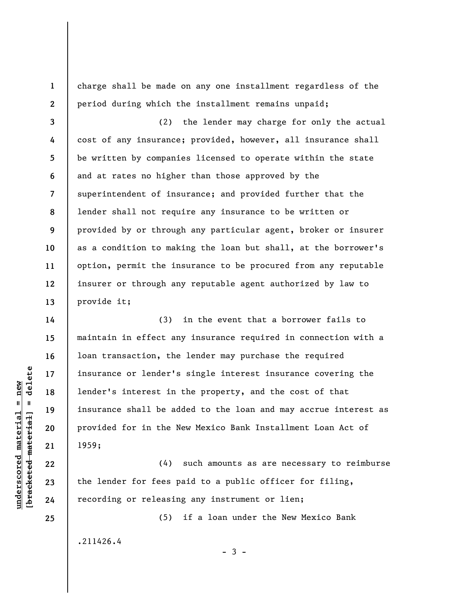charge shall be made on any one installment regardless of the period during which the installment remains unpaid;

**3 4 5 6 7 8 9 10 11 12 13**  (2) the lender may charge for only the actual cost of any insurance; provided, however, all insurance shall be written by companies licensed to operate within the state and at rates no higher than those approved by the superintendent of insurance; and provided further that the lender shall not require any insurance to be written or provided by or through any particular agent, broker or insurer as a condition to making the loan but shall, at the borrower's option, permit the insurance to be procured from any reputable insurer or through any reputable agent authorized by law to provide it;

(3) in the event that a borrower fails to maintain in effect any insurance required in connection with a loan transaction, the lender may purchase the required insurance or lender's single interest insurance covering the lender's interest in the property, and the cost of that insurance shall be added to the loan and may accrue interest as provided for in the New Mexico Bank Installment Loan Act of 1959;

(4) such amounts as are necessary to reimburse the lender for fees paid to a public officer for filing, recording or releasing any instrument or lien;

(5) if a loan under the New Mexico Bank

.211426.4

 $\frac{1}{2}$  intereted material = delete **[bracketed material] = delete**  $underscored$  material = new **underscored material = new**

**1** 

**2** 

**14** 

**15** 

**16** 

**17** 

**18** 

**19** 

**20** 

**21** 

**22** 

**23** 

**24** 

**25** 

 $-3 -$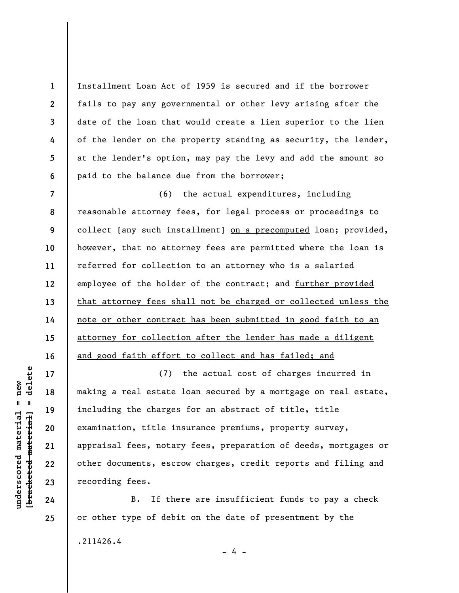Installment Loan Act of 1959 is secured and if the borrower fails to pay any governmental or other levy arising after the date of the loan that would create a lien superior to the lien of the lender on the property standing as security, the lender, at the lender's option, may pay the levy and add the amount so paid to the balance due from the borrower;

**7 8 9 10 11 12 13 14 15 16**  (6) the actual expenditures, including reasonable attorney fees, for legal process or proceedings to collect [any such installment] on a precomputed loan; provided, however, that no attorney fees are permitted where the loan is referred for collection to an attorney who is a salaried employee of the holder of the contract; and further provided that attorney fees shall not be charged or collected unless the note or other contract has been submitted in good faith to an attorney for collection after the lender has made a diligent and good faith effort to collect and has failed; and

(7) the actual cost of charges incurred in making a real estate loan secured by a mortgage on real estate, including the charges for an abstract of title, title examination, title insurance premiums, property survey, appraisal fees, notary fees, preparation of deeds, mortgages or other documents, escrow charges, credit reports and filing and recording fees.

B. If there are insufficient funds to pay a check or other type of debit on the date of presentment by the

- 4 -

.211426.4

delete **[bracketed material] = delete**  $anderscored material = new$ **underscored material = new**  $\frac{1}{2}$ 

**17** 

**18** 

**19** 

**20** 

**21** 

**22** 

**23** 

**24** 

**25** 

**1** 

**2** 

**3** 

**4** 

**5**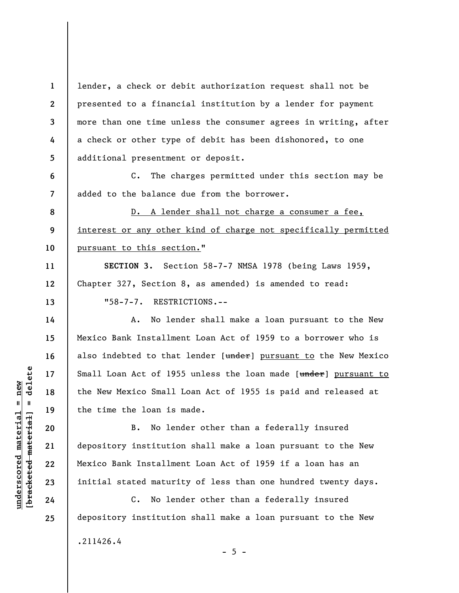**1 2 3 4 5**  lender, a check or debit authorization request shall not be presented to a financial institution by a lender for payment more than one time unless the consumer agrees in writing, after a check or other type of debit has been dishonored, to one additional presentment or deposit.

C. The charges permitted under this section may be added to the balance due from the borrower.

**8 9**  D. A lender shall not charge a consumer a fee, interest or any other kind of charge not specifically permitted pursuant to this section."

**SECTION 3.** Section 58-7-7 NMSA 1978 (being Laws 1959, Chapter 327, Section 8, as amended) is amended to read: "58-7-7. RESTRICTIONS.--

A. No lender shall make a loan pursuant to the New Mexico Bank Installment Loan Act of 1959 to a borrower who is also indebted to that lender [under] pursuant to the New Mexico Small Loan Act of 1955 unless the loan made [under] pursuant to the New Mexico Small Loan Act of 1955 is paid and released at the time the loan is made.

B. No lender other than a federally insured depository institution shall make a loan pursuant to the New Mexico Bank Installment Loan Act of 1959 if a loan has an initial stated maturity of less than one hundred twenty days.

C. No lender other than a federally insured depository institution shall make a loan pursuant to the New .211426.4  $- 5 -$ 

 $\frac{1}{2}$  intereted material = delete **[bracketed material] = delete**  $underscored material = new$ **underscored material = new**

**6** 

**7** 

**10** 

**11** 

**12** 

**13** 

**14** 

**15** 

**16** 

**17** 

**18** 

**19** 

**20** 

**21** 

**22** 

**23** 

**24**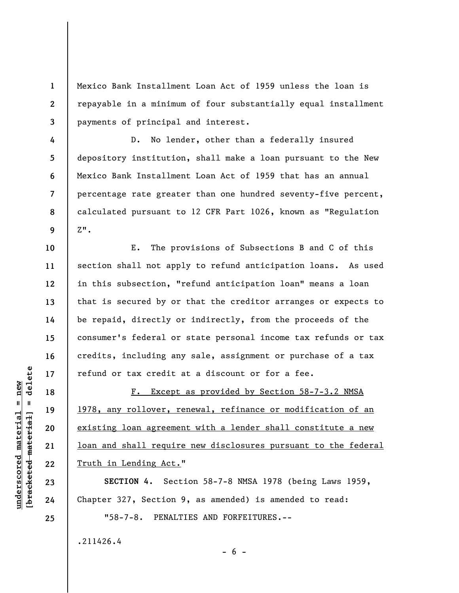Mexico Bank Installment Loan Act of 1959 unless the loan is repayable in a minimum of four substantially equal installment payments of principal and interest.

**4 5 7 8 9**  D. No lender, other than a federally insured depository institution, shall make a loan pursuant to the New Mexico Bank Installment Loan Act of 1959 that has an annual percentage rate greater than one hundred seventy-five percent, calculated pursuant to 12 CFR Part 1026, known as "Regulation  $Z$ ".

E. The provisions of Subsections B and C of this section shall not apply to refund anticipation loans. As used in this subsection, "refund anticipation loan" means a loan that is secured by or that the creditor arranges or expects to be repaid, directly or indirectly, from the proceeds of the consumer's federal or state personal income tax refunds or tax credits, including any sale, assignment or purchase of a tax refund or tax credit at a discount or for a fee.

F. Except as provided by Section 58-7-3.2 NMSA 1978, any rollover, renewal, refinance or modification of an existing loan agreement with a lender shall constitute a new loan and shall require new disclosures pursuant to the federal Truth in Lending Act."

**SECTION 4.** Section 58-7-8 NMSA 1978 (being Laws 1959, Chapter 327, Section 9, as amended) is amended to read:

 $- 6 -$ 

"58-7-8. PENALTIES AND FORFEITURES.--

.211426.4

 $b$ racketed material] = delete **[bracketed material] = delete**  $underscored material = new$ **underscored material = new**

**1** 

**2** 

**3** 

**6** 

**10** 

**11** 

**12** 

**13** 

**14** 

**15** 

**16** 

**17** 

**18** 

**19** 

**20** 

**21** 

**22** 

**23** 

**24**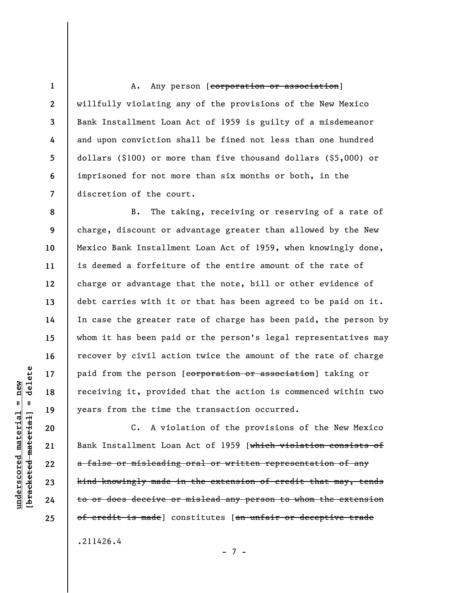A. Any person [corporation or association] willfully violating any of the provisions of the New Mexico Bank Installment Loan Act of 1959 is guilty of a misdemeanor and upon conviction shall be fined not less than one hundred dollars (\$100) or more than five thousand dollars (\$5,000) or imprisoned for not more than six months or both, in the discretion of the court.

**8 9 10 11 12 13 14 15 16 17 18 19**  B. The taking, receiving or reserving of a rate of charge, discount or advantage greater than allowed by the New Mexico Bank Installment Loan Act of 1959, when knowingly done, is deemed a forfeiture of the entire amount of the rate of charge or advantage that the note, bill or other evidence of debt carries with it or that has been agreed to be paid on it. In case the greater rate of charge has been paid, the person by whom it has been paid or the person's legal representatives may recover by civil action twice the amount of the rate of charge paid from the person [corporation or association] taking or receiving it, provided that the action is commenced within two years from the time the transaction occurred.

C. A violation of the provisions of the New Mexico Bank Installment Loan Act of 1959 [which violation consists of a false or misleading oral or written representation of any kind knowingly made in the extension of credit that may, tends to or does deceive or mislead any person to whom the extension of credit is made] constitutes [an unfair or deceptive trade

.211426.4

- 7 -

delete **[bracketed material] = delete**  $underscored material = new$ **underscored material = new**  $\mathbf{I}$ bracketed material

**20** 

**21** 

**22** 

**23** 

**24** 

**25** 

**1** 

**2** 

**3** 

**4** 

**5** 

**6**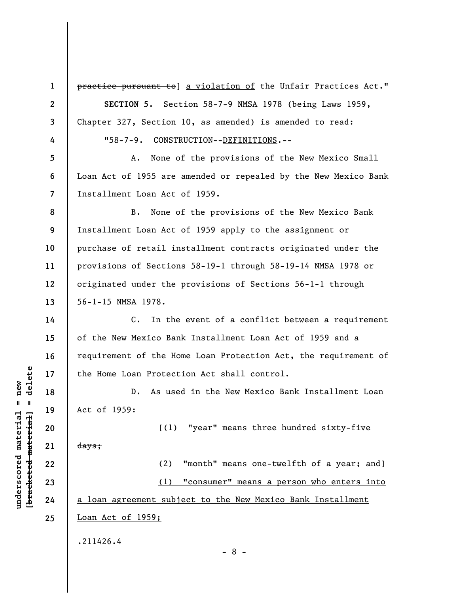**1 2** 

**3** 

**4** 

**5** 

**6** 

**7** 

**14** 

**15** 

**16** 

**17** 

**18** 

**19** 

**20** 

**21** 

**22** 

**23** 

**24** 

**25** 

practice pursuant to] a violation of the Unfair Practices Act." **SECTION 5.** Section 58-7-9 NMSA 1978 (being Laws 1959, Chapter 327, Section 10, as amended) is amended to read:

"58-7-9. CONSTRUCTION--DEFINITIONS.--

A. None of the provisions of the New Mexico Small Loan Act of 1955 are amended or repealed by the New Mexico Bank Installment Loan Act of 1959.

**8 9 10 11 12 13**  B. None of the provisions of the New Mexico Bank Installment Loan Act of 1959 apply to the assignment or purchase of retail installment contracts originated under the provisions of Sections 58-19-1 through 58-19-14 NMSA 1978 or originated under the provisions of Sections 56-1-1 through 56-1-15 NMSA 1978.

C. In the event of a conflict between a requirement of the New Mexico Bank Installment Loan Act of 1959 and a requirement of the Home Loan Protection Act, the requirement of the Home Loan Protection Act shall control.

D. As used in the New Mexico Bank Installment Loan Act of 1959:

days;

 $\left[\frac{1}{1}\right]$  "year" means three hundred sixty-five

(2) "month" means one-twelfth of a year; and] (1) "consumer" means a person who enters into a loan agreement subject to the New Mexico Bank Installment Loan Act of 1959; .211426.4

- 8 -

 $\frac{1}{2}$  of  $\frac{1}{2}$  and  $\frac{1}{2}$  and  $\frac{1}{2}$  and  $\frac{1}{2}$  and  $\frac{1}{2}$  and  $\frac{1}{2}$  and  $\frac{1}{2}$  and  $\frac{1}{2}$  and  $\frac{1}{2}$  and  $\frac{1}{2}$  and  $\frac{1}{2}$  and  $\frac{1}{2}$  and  $\frac{1}{2}$  and  $\frac{1}{2}$  and  $\frac{1}{2}$  an **[bracketed material] = delete**  $underscored material = new$ **underscored material = new**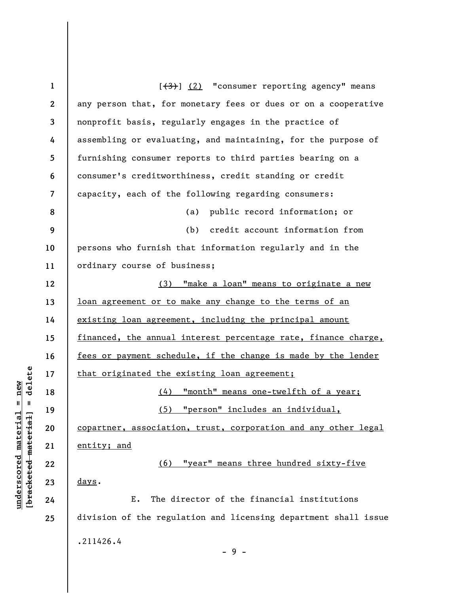**1 2 3 4 5 6 7 8 9 10 11 12 13 14 15 16 17 18 19 20 21 22 23 24 25**   $[\frac{(3)}{2}]$  (2) "consumer reporting agency" means any person that, for monetary fees or dues or on a cooperative nonprofit basis, regularly engages in the practice of assembling or evaluating, and maintaining, for the purpose of furnishing consumer reports to third parties bearing on a consumer's creditworthiness, credit standing or credit capacity, each of the following regarding consumers: (a) public record information; or (b) credit account information from persons who furnish that information regularly and in the ordinary course of business; (3) "make a loan" means to originate a new loan agreement or to make any change to the terms of an existing loan agreement, including the principal amount financed, the annual interest percentage rate, finance charge, fees or payment schedule, if the change is made by the lender that originated the existing loan agreement; (4) "month" means one-twelfth of a year; (5) "person" includes an individual, copartner, association, trust, corporation and any other legal entity; and (6) "year" means three hundred sixty-five days. E. The director of the financial institutions division of the regulation and licensing department shall issue .211426.4 - 9 -

**underscored material = new [bracketed material] = delete**

 $\frac{1}{2}$  intereted material = delete  $underscored material = new$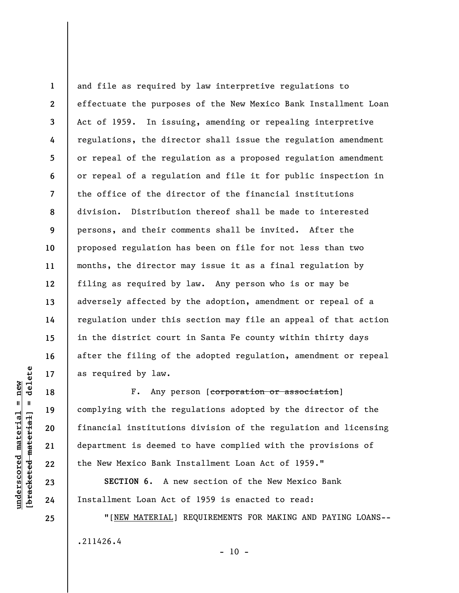**1 2 3 4 5 6 7 8 9 10 11 12 13 14 15 16 17**  and file as required by law interpretive regulations to effectuate the purposes of the New Mexico Bank Installment Loan Act of 1959. In issuing, amending or repealing interpretive regulations, the director shall issue the regulation amendment or repeal of the regulation as a proposed regulation amendment or repeal of a regulation and file it for public inspection in the office of the director of the financial institutions division. Distribution thereof shall be made to interested persons, and their comments shall be invited. After the proposed regulation has been on file for not less than two months, the director may issue it as a final regulation by filing as required by law. Any person who is or may be adversely affected by the adoption, amendment or repeal of a regulation under this section may file an appeal of that action in the district court in Santa Fe county within thirty days after the filing of the adopted regulation, amendment or repeal as required by law.

F. Any person [corporation or association] complying with the regulations adopted by the director of the financial institutions division of the regulation and licensing department is deemed to have complied with the provisions of the New Mexico Bank Installment Loan Act of 1959."

**SECTION 6**. A new section of the New Mexico Bank Installment Loan Act of 1959 is enacted to read:

"[NEW MATERIAL] REQUIREMENTS FOR MAKING AND PAYING LOANS-- .211426.4

delete **[bracketed material] = delete**  $underscored material = new$ **underscored material = new**  $\mathbf{I}$ bracketed material

**18** 

**19** 

**20** 

**21** 

**22** 

**23** 

**24** 

**25** 

 $- 10 -$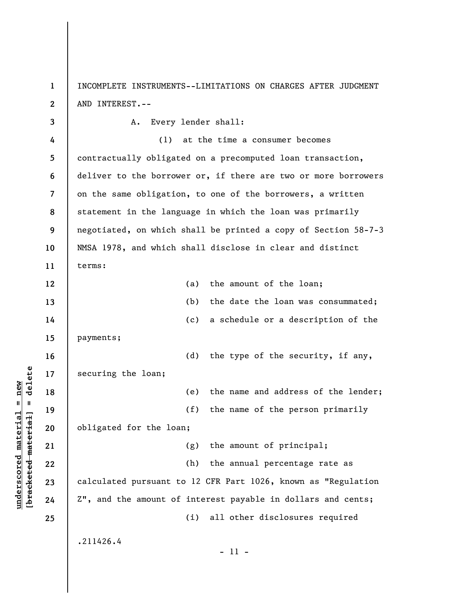**1 2**  INCOMPLETE INSTRUMENTS--LIMITATIONS ON CHARGES AFTER JUDGMENT AND INTEREST.--

**3 4 5 6 7 8 9 10 11 12 13 14 15 16 17 18 19 20 21 22 23 24 25**  A. Every lender shall: (1) at the time a consumer becomes contractually obligated on a precomputed loan transaction, deliver to the borrower or, if there are two or more borrowers on the same obligation, to one of the borrowers, a written statement in the language in which the loan was primarily negotiated, on which shall be printed a copy of Section 58-7-3 NMSA 1978, and which shall disclose in clear and distinct terms: (a) the amount of the loan; (b) the date the loan was consummated; (c) a schedule or a description of the payments; (d) the type of the security, if any, securing the loan; (e) the name and address of the lender; (f) the name of the person primarily obligated for the loan; (g) the amount of principal; (h) the annual percentage rate as calculated pursuant to 12 CFR Part 1026, known as "Regulation Z", and the amount of interest payable in dollars and cents; (i) all other disclosures required .211426.4 - 11 -

 $\frac{1}{2}$  of  $\frac{1}{2}$  and  $\frac{1}{2}$  and  $\frac{1}{2}$  and  $\frac{1}{2}$  and  $\frac{1}{2}$  and  $\frac{1}{2}$  and  $\frac{1}{2}$  and  $\frac{1}{2}$  and  $\frac{1}{2}$  and  $\frac{1}{2}$  and  $\frac{1}{2}$  and  $\frac{1}{2}$  and  $\frac{1}{2}$  and  $\frac{1}{2}$  and  $\frac{1}{2}$  an **[bracketed material] = delete**  $underscored material = new$ **underscored material = new**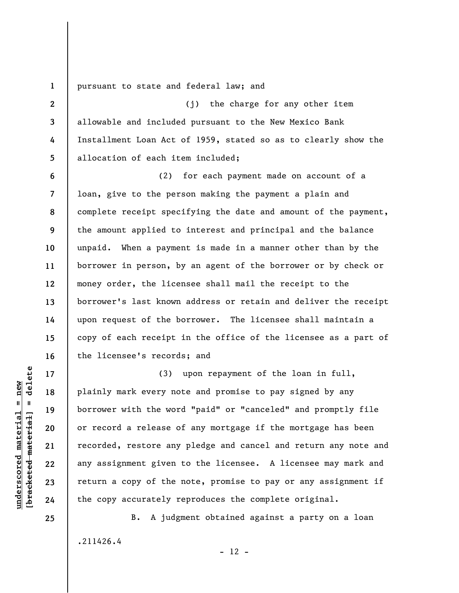**1**  pursuant to state and federal law; and

(j) the charge for any other item allowable and included pursuant to the New Mexico Bank Installment Loan Act of 1959, stated so as to clearly show the allocation of each item included;

**6 7 8 9 10 11 12 13 14 15 16**  (2) for each payment made on account of a loan, give to the person making the payment a plain and complete receipt specifying the date and amount of the payment, the amount applied to interest and principal and the balance unpaid. When a payment is made in a manner other than by the borrower in person, by an agent of the borrower or by check or money order, the licensee shall mail the receipt to the borrower's last known address or retain and deliver the receipt upon request of the borrower. The licensee shall maintain a copy of each receipt in the office of the licensee as a part of the licensee's records; and

(3) upon repayment of the loan in full, plainly mark every note and promise to pay signed by any borrower with the word "paid" or "canceled" and promptly file or record a release of any mortgage if the mortgage has been recorded, restore any pledge and cancel and return any note and any assignment given to the licensee. A licensee may mark and return a copy of the note, promise to pay or any assignment if the copy accurately reproduces the complete original.

B. A judgment obtained against a party on a loan .211426.4  $- 12 -$ 

 $\frac{1}{2}$  intereted material = delete **[bracketed material] = delete**  $underscored material = new$ **underscored material = new**

**17** 

**18** 

**19** 

**20** 

**21** 

**22** 

**23** 

**24** 

**25** 

**2** 

**3** 

**4**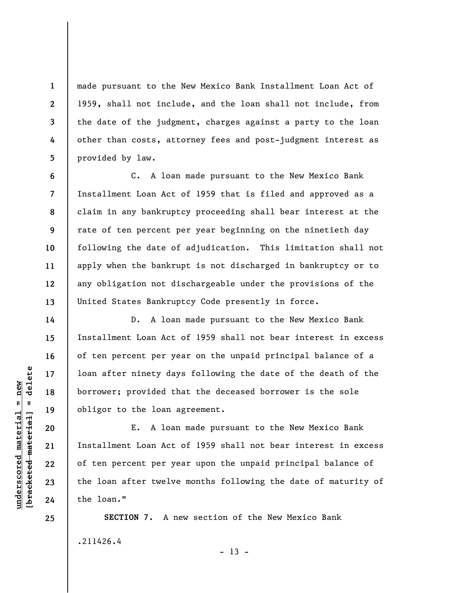made pursuant to the New Mexico Bank Installment Loan Act of 1959, shall not include, and the loan shall not include, from the date of the judgment, charges against a party to the loan other than costs, attorney fees and post-judgment interest as provided by law.

C. A loan made pursuant to the New Mexico Bank Installment Loan Act of 1959 that is filed and approved as a claim in any bankruptcy proceeding shall bear interest at the rate of ten percent per year beginning on the ninetieth day following the date of adjudication. This limitation shall not apply when the bankrupt is not discharged in bankruptcy or to any obligation not dischargeable under the provisions of the United States Bankruptcy Code presently in force.

D. A loan made pursuant to the New Mexico Bank Installment Loan Act of 1959 shall not bear interest in excess of ten percent per year on the unpaid principal balance of a loan after ninety days following the date of the death of the borrower; provided that the deceased borrower is the sole obligor to the loan agreement.

E. A loan made pursuant to the New Mexico Bank Installment Loan Act of 1959 shall not bear interest in excess of ten percent per year upon the unpaid principal balance of the loan after twelve months following the date of maturity of the loan."

**SECTION 7.** A new section of the New Mexico Bank .211426.4  $- 13 -$ 

 $\frac{1}{2}$  of  $\frac{1}{2}$  and  $\frac{1}{2}$  and  $\frac{1}{2}$  and  $\frac{1}{2}$  and  $\frac{1}{2}$  and  $\frac{1}{2}$  and  $\frac{1}{2}$  and  $\frac{1}{2}$  and  $\frac{1}{2}$  and  $\frac{1}{2}$  and  $\frac{1}{2}$  and  $\frac{1}{2}$  and  $\frac{1}{2}$  and  $\frac{1}{2}$  and  $\frac{1}{2}$  an **[bracketed material] = delete**  $underscored material = new$ **underscored material = new**

**25** 

**1** 

**2** 

**3** 

**4** 

**5** 

**6** 

**7** 

**8** 

**9** 

**10** 

**11** 

**12** 

**13** 

**14** 

**15** 

**16** 

**17** 

**18** 

**19** 

**20** 

**21** 

**22** 

**23**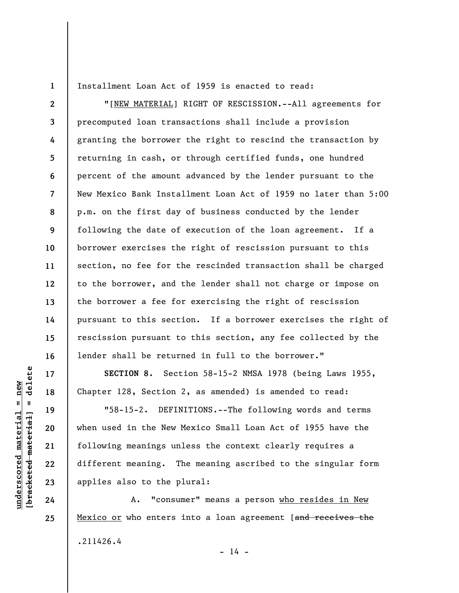**1** 

**2** 

**3** 

**4** 

**5** 

**6** 

**7** 

**8** 

**9** 

**10** 

**11** 

**12** 

**13** 

**14** 

**15** 

**16** 

**17** 

**18** 

**19** 

**20** 

**21** 

**22** 

**23** 

**24** 

**25** 

Installment Loan Act of 1959 is enacted to read:

"[NEW MATERIAL] RIGHT OF RESCISSION.--All agreements for precomputed loan transactions shall include a provision granting the borrower the right to rescind the transaction by returning in cash, or through certified funds, one hundred percent of the amount advanced by the lender pursuant to the New Mexico Bank Installment Loan Act of 1959 no later than 5:00 p.m. on the first day of business conducted by the lender following the date of execution of the loan agreement. If a borrower exercises the right of rescission pursuant to this section, no fee for the rescinded transaction shall be charged to the borrower, and the lender shall not charge or impose on the borrower a fee for exercising the right of rescission pursuant to this section. If a borrower exercises the right of rescission pursuant to this section, any fee collected by the lender shall be returned in full to the borrower."

**SECTION 8.** Section 58-15-2 NMSA 1978 (being Laws 1955, Chapter 128, Section 2, as amended) is amended to read:

"58-15-2. DEFINITIONS.--The following words and terms when used in the New Mexico Small Loan Act of 1955 have the following meanings unless the context clearly requires a different meaning. The meaning ascribed to the singular form applies also to the plural:

A. "consumer" means a person who resides in New Mexico or who enters into a loan agreement [and receives the .211426.4  $- 14 -$ 

delete **[bracketed material] = delete**  $anderscored material = new$ **underscored material = new**  $\mathbf{u}$ bracketed material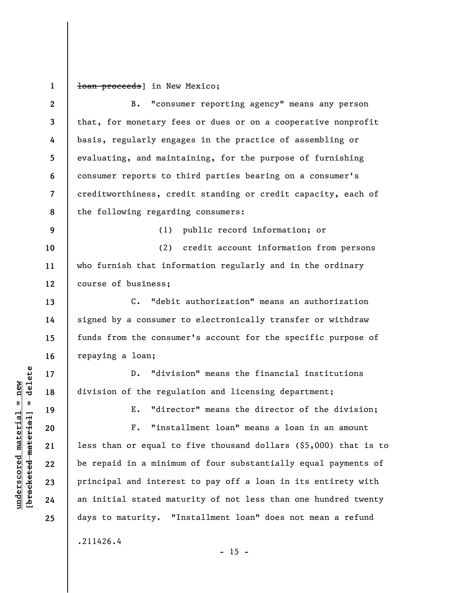**1**  loan proceeds] in New Mexico;

**2 3 4 5 6 7 8 9 10 11 12 13 14 15 16 17 18 19 20 21 22 23 24 25**  B. "consumer reporting agency" means any person that, for monetary fees or dues or on a cooperative nonprofit basis, regularly engages in the practice of assembling or evaluating, and maintaining, for the purpose of furnishing consumer reports to third parties bearing on a consumer's creditworthiness, credit standing or credit capacity, each of the following regarding consumers: (1) public record information; or (2) credit account information from persons who furnish that information regularly and in the ordinary course of business; C. "debit authorization" means an authorization signed by a consumer to electronically transfer or withdraw funds from the consumer's account for the specific purpose of repaying a loan; D. "division" means the financial institutions division of the regulation and licensing department; E. "director" means the director of the division; F. "installment loan" means a loan in an amount less than or equal to five thousand dollars (\$5,000) that is to be repaid in a minimum of four substantially equal payments of principal and interest to pay off a loan in its entirety with an initial stated maturity of not less than one hundred twenty days to maturity. "Installment loan" does not mean a refund .211426.4  $- 15 -$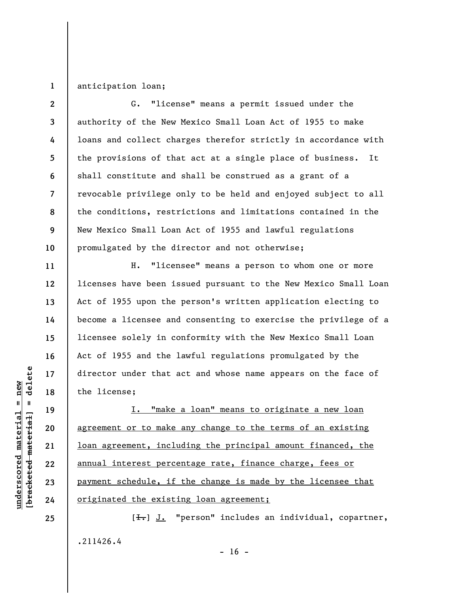## **1**  anticipation loan;

| $\mathbf{2}$   | G. "license" means a permit issued under the                   |
|----------------|----------------------------------------------------------------|
| $\mathbf{3}$   | authority of the New Mexico Small Loan Act of 1955 to make     |
| 4              | loans and collect charges therefor strictly in accordance with |
| 5 <sup>5</sup> | the provisions of that act at a single place of business. It   |
| 6              | shall constitute and shall be construed as a grant of a        |
| $\overline{7}$ | revocable privilege only to be held and enjoyed subject to all |
| 8              | the conditions, restrictions and limitations contained in the  |
| 9              | New Mexico Small Loan Act of 1955 and lawful regulations       |
| 10             | promulgated by the director and not otherwise;                 |

H. "licensee" means a person to whom one or more licenses have been issued pursuant to the New Mexico Small Loan Act of 1955 upon the person's written application electing to become a licensee and consenting to exercise the privilege of a licensee solely in conformity with the New Mexico Small Loan Act of 1955 and the lawful regulations promulgated by the director under that act and whose name appears on the face of the license;

I. "make a loan" means to originate a new loan agreement or to make any change to the terms of an existing loan agreement, including the principal amount financed, the annual interest percentage rate, finance charge, fees or payment schedule, if the change is made by the licensee that originated the existing loan agreement;

[ $\pm$ ]. "person" includes an individual, copartner, .211426.4  $- 16 -$ 

 $\frac{1}{2}$  intereted material = delete **[bracketed material] = delete**  $underscored material = new$ **underscored material = new**

**25** 

**11** 

**12** 

**13** 

**14** 

**15** 

**16** 

**17** 

**18** 

**19** 

**20** 

**21** 

**22** 

**23**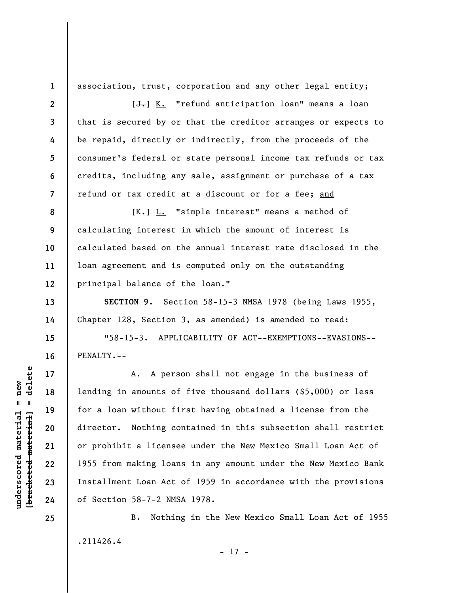**1 2** 

**3** 

**4** 

**5** 

**6** 

**7** 

**10** 

**11** 

**13** 

**14** 

**15** 

**16** 

**17** 

**18** 

**19** 

**20** 

**21** 

**22** 

**23** 

**24** 

**25** 

association, trust, corporation and any other legal entity;

 $[J-] K$ . "refund anticipation loan" means a loan that is secured by or that the creditor arranges or expects to be repaid, directly or indirectly, from the proceeds of the consumer's federal or state personal income tax refunds or tax credits, including any sale, assignment or purchase of a tax refund or tax credit at a discount or for a fee; and

**8 9 12**   $[K-]$  L. "simple interest" means a method of calculating interest in which the amount of interest is calculated based on the annual interest rate disclosed in the loan agreement and is computed only on the outstanding principal balance of the loan."

**SECTION 9.** Section 58-15-3 NMSA 1978 (being Laws 1955, Chapter 128, Section 3, as amended) is amended to read:

"58-15-3. APPLICABILITY OF ACT--EXEMPTIONS--EVASIONS-- PENALTY.--

A. A person shall not engage in the business of lending in amounts of five thousand dollars (\$5,000) or less for a loan without first having obtained a license from the director. Nothing contained in this subsection shall restrict or prohibit a licensee under the New Mexico Small Loan Act of 1955 from making loans in any amount under the New Mexico Bank Installment Loan Act of 1959 in accordance with the provisions of Section 58-7-2 NMSA 1978.

B. Nothing in the New Mexico Small Loan Act of 1955 .211426.4 - 17 -

delete **[bracketed material] = delete**  $underscored material = new$ **underscored material = new**  $\mathbf{I}$ bracketed material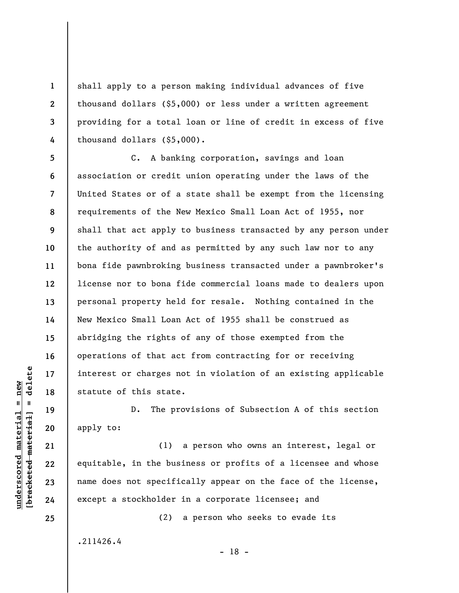shall apply to a person making individual advances of five thousand dollars (\$5,000) or less under a written agreement providing for a total loan or line of credit in excess of five thousand dollars (\$5,000).

**5 6 7 8 9 10 11 12 13 14 15 16 17 18**  C. A banking corporation, savings and loan association or credit union operating under the laws of the United States or of a state shall be exempt from the licensing requirements of the New Mexico Small Loan Act of 1955, nor shall that act apply to business transacted by any person under the authority of and as permitted by any such law nor to any bona fide pawnbroking business transacted under a pawnbroker's license nor to bona fide commercial loans made to dealers upon personal property held for resale. Nothing contained in the New Mexico Small Loan Act of 1955 shall be construed as abridging the rights of any of those exempted from the operations of that act from contracting for or receiving interest or charges not in violation of an existing applicable statute of this state.

D. The provisions of Subsection A of this section apply to:

(1) a person who owns an interest, legal or equitable, in the business or profits of a licensee and whose name does not specifically appear on the face of the license, except a stockholder in a corporate licensee; and

(2) a person who seeks to evade its

.211426.4

- 18 -

 $\frac{1}{2}$  bracketed material] = delete **[bracketed material] = delete**  $underscored material = new$ **underscored material = new**

**19** 

**20** 

**21** 

**22** 

**23** 

**24** 

**25** 

**1** 

**2** 

**3**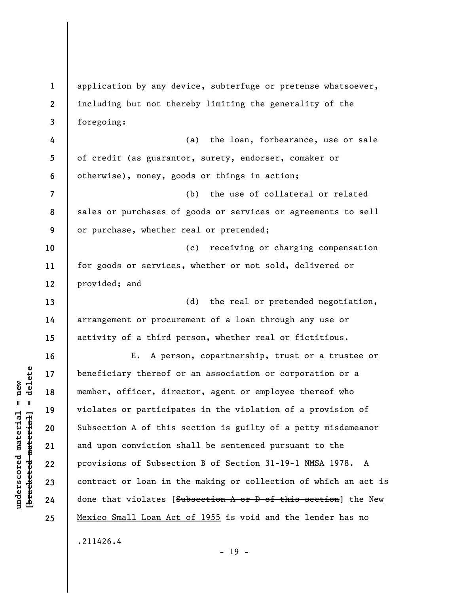**1 2 3 4 5 6 7 8 9 10 11 12 13 14 15 16 17 18 19 20 21 22 23 24 25**  application by any device, subterfuge or pretense whatsoever, including but not thereby limiting the generality of the foregoing: (a) the loan, forbearance, use or sale of credit (as guarantor, surety, endorser, comaker or otherwise), money, goods or things in action; (b) the use of collateral or related sales or purchases of goods or services or agreements to sell or purchase, whether real or pretended; (c) receiving or charging compensation for goods or services, whether or not sold, delivered or provided; and (d) the real or pretended negotiation, arrangement or procurement of a loan through any use or activity of a third person, whether real or fictitious. E. A person, copartnership, trust or a trustee or beneficiary thereof or an association or corporation or a member, officer, director, agent or employee thereof who violates or participates in the violation of a provision of Subsection A of this section is guilty of a petty misdemeanor and upon conviction shall be sentenced pursuant to the provisions of Subsection B of Section 31-19-1 NMSA 1978. A contract or loan in the making or collection of which an act is done that violates [Subsection A or D of this section] the New Mexico Small Loan Act of 1955 is void and the lender has no .211426.4

**underscored material = new [bracketed material] = delete**

 $b$ racketed material] = delete  $underscored material = new$ 

- 19 -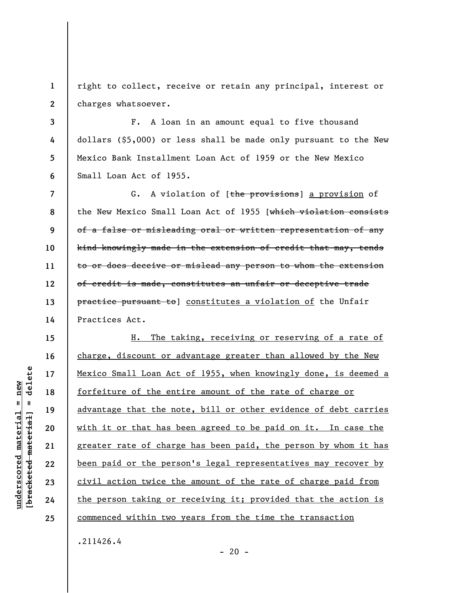**1 2**  right to collect, receive or retain any principal, interest or charges whatsoever.

**3 4 5 6**  F. A loan in an amount equal to five thousand dollars (\$5,000) or less shall be made only pursuant to the New Mexico Bank Installment Loan Act of 1959 or the New Mexico Small Loan Act of 1955.

**7 8 9 10 11 12 13 14**  G. A violation of [the provisions] a provision of the New Mexico Small Loan Act of 1955 [which violation consists of a false or misleading oral or written representation of any kind knowingly made in the extension of credit that may, tends to or does deceive or mislead any person to whom the extension of credit is made, constitutes an unfair or deceptive trade practice pursuant to constitutes a violation of the Unfair Practices Act.

H. The taking, receiving or reserving of a rate of charge, discount or advantage greater than allowed by the New Mexico Small Loan Act of 1955, when knowingly done, is deemed a forfeiture of the entire amount of the rate of charge or advantage that the note, bill or other evidence of debt carries with it or that has been agreed to be paid on it. In case the greater rate of charge has been paid, the person by whom it has been paid or the person's legal representatives may recover by civil action twice the amount of the rate of charge paid from the person taking or receiving it; provided that the action is commenced within two years from the time the transaction

.211426.4

 $- 20 -$ 

delete **[bracketed material] = delete**  $underscored material = new$ **underscored material = new**  $\mathbf{I}$ bracketed material

**15** 

**16** 

**17** 

**18** 

**19** 

**20** 

**21** 

**22** 

**23** 

**24**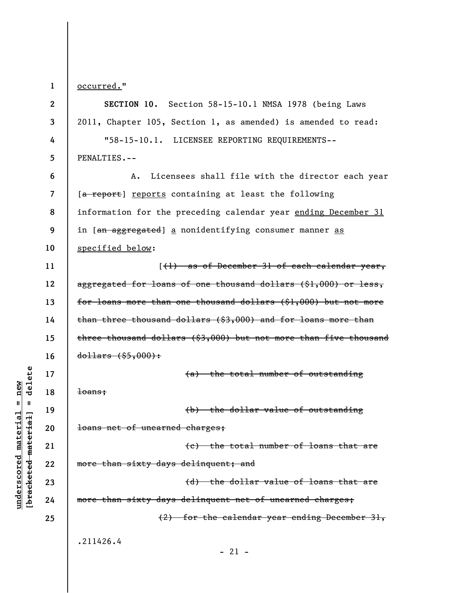**1** 

**underscored material = new [bracketed material] = delete**

 $underscored material = new$ 

delete

 $\mathbf{u}$ 

bracketed material

occurred."

**2 3 4 5 6 7 8 9 10 11 12 13 14 15 16 17 18 19 20 21 22 23 24 25 SECTION 10.** Section 58-15-10.1 NMSA 1978 (being Laws 2011, Chapter 105, Section 1, as amended) is amended to read: "58-15-10.1. LICENSEE REPORTING REQUIREMENTS-- PENALTIES.-- A. Licensees shall file with the director each year [a report] reports containing at least the following information for the preceding calendar year ending December 31 in [an aggregated] a nonidentifying consumer manner as specified below: [(1) as of December 31 of each calendar year, aggregated for loans of one thousand dollars (\$1,000) or less, for loans more than one thousand dollars (\$1,000) but not more than three thousand dollars (\$3,000) and for loans more than three thousand dollars (\$3,000) but not more than five thousand  $d$ ollars  $($ \$5,000 $)$ : (a) the total number of outstanding loans; (b) the dollar value of outstanding loans net of unearned charges; (c) the total number of loans that are more than sixty days delinquent; and (d) the dollar value of loans that are more than sixty days delinquent net of unearned charges; (2) for the calendar year ending December 31, .211426.4  $-21 -$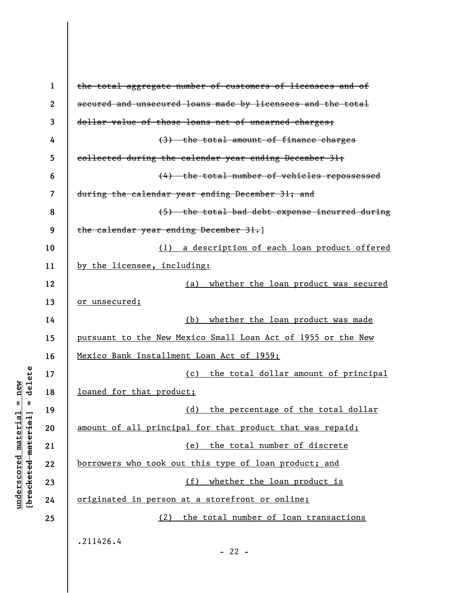| $\mathbf 1$  | the total aggregate number of customers of licensees and of  |
|--------------|--------------------------------------------------------------|
| $\mathbf{2}$ | secured and unsecured loans made by licensees and the total  |
| 3            | dollar value of those loans net of unearned charges;         |
| 4            | (3) the total amount of finance charges                      |
| 5            | collected during the calendar year ending December 31;       |
| 6            | (4) the total number of vehicles repossessed                 |
| 7            | during the calendar year ending December 31; and             |
| 8            | (5) the total bad debt expense incurred during               |
| 9            | the calendar year ending December 31.                        |
| 10           | (1) a description of each loan product offered               |
| 11           | by the licensee, including:                                  |
| 12           | whether the loan product was secured<br>(a)                  |
| 13           | or unsecured;                                                |
| 14           | whether the loan product was made<br>(b)                     |
| 15           | pursuant to the New Mexico Small Loan Act of 1955 or the New |
| 16           | Mexico Bank Installment Loan Act of 1959;                    |
| 17           | (c) the total dollar amount of principal                     |
| 18           | loaned for that product;                                     |
| 19           | (d) the percentage of the total dollar                       |
| 20           | amount of all principal for that product that was repaid;    |
| 21           | (e) the total number of discrete                             |
| 22           | borrowers who took out this type of loan product; and        |
| 23           | (f)<br>whether the loan product is                           |
| 24           | originated in person at a storefront or online;              |
| 25           | (2) the total number of loan transactions                    |
|              | .211426.4                                                    |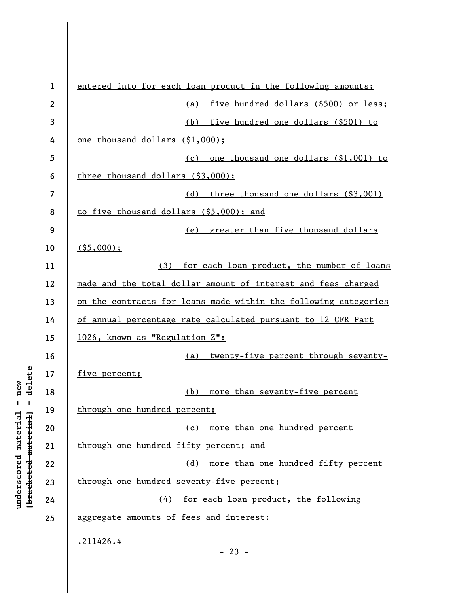| $\mathbf{1}$ | entered into for each loan product in the following amounts:    |
|--------------|-----------------------------------------------------------------|
| 2            | five hundred dollars (\$500) or less;<br>(a)                    |
| 3            | (b) five hundred one dollars (\$501) to                         |
| 4            | one thousand dollars (\$1,000);                                 |
| 5            | (c) one thousand one dollars (\$1,001) to                       |
| 6            | three thousand dollars (\$3,000);                               |
| 7            | (d) three thousand one dollars (\$3,001)                        |
| 8            | to five thousand dollars (\$5,000); and                         |
| 9            | (e) greater than five thousand dollars                          |
| 10           | $($ \$5,000);                                                   |
| 11           | (3) for each loan product, the number of loans                  |
| 12           | made and the total dollar amount of interest and fees charged   |
| 13           | on the contracts for loans made within the following categories |
| 14           | of annual percentage rate calculated pursuant to 12 CFR Part    |
| 15           | 1026, known as "Regulation Z":                                  |
| 16           | twenty-five percent through seventy-<br>(a)                     |
| 17           | five percent;                                                   |
| 18           | (b)<br>more than seventy-five percent                           |
| 19           | through one hundred percent;                                    |
| 20           | more than one hundred percent<br>(c)                            |
| 21           | through one hundred fifty percent; and                          |
| 22           | (d)<br>more than one hundred fifty percent                      |
| 23           | through one hundred seventy-five percent;                       |
| 24           | (4) for each loan product, the following                        |
| 25           | aggregate amounts of fees and interest:                         |
|              | .211426.4<br>$-23 -$                                            |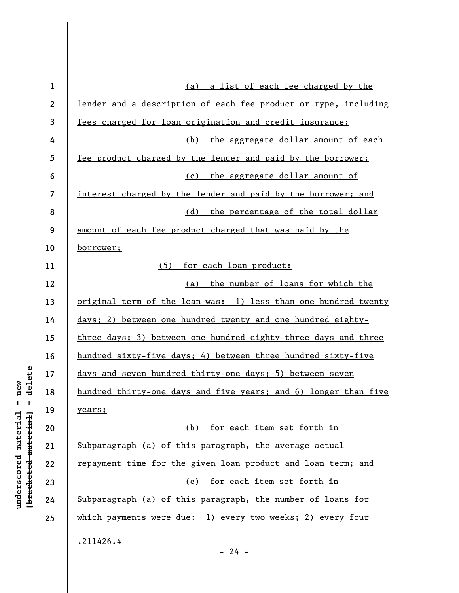| $\mathbf{1}$ | (a) a list of each fee charged by the                                 |
|--------------|-----------------------------------------------------------------------|
| $\mathbf{2}$ | lender and a description of each fee product or type, including       |
| 3            | fees charged for loan origination and credit insurance;               |
| 4            | (b) the aggregate dollar amount of each                               |
| 5            | fee product charged by the lender and paid by the borrower;           |
| 6            | (c) the aggregate dollar amount of                                    |
| 7            | interest charged by the lender and paid by the borrower; and          |
| 8            | (d) the percentage of the total dollar                                |
| 9            | amount of each fee product charged that was paid by the               |
| 10           | <u>borrower;</u>                                                      |
| 11           | (5)<br>for each loan product:                                         |
| 12           | the number of loans for which the<br>(a)                              |
| 13           | <u>original term of the loan was: 1) less than one hundred twenty</u> |
| 14           | days; 2) between one hundred twenty and one hundred eighty-           |
| 15           | three days; 3) between one hundred eighty-three days and three        |
| 16           | hundred sixty-five days; 4) between three hundred sixty-five          |
| 17           | days and seven hundred thirty-one days; 5) between seven              |
| 18           | hundred thirty-one days and five years; and 6) longer than five       |
| 19           | <u>years;</u>                                                         |
| 20           | (b) for each item set forth in                                        |
| 21           | Subparagraph (a) of this paragraph, the average actual                |
| 22           | repayment time for the given loan product and loan term; and          |
| 23           | (c) for each item set forth in                                        |
| 24           | Subparagraph (a) of this paragraph, the number of loans for           |
| 25           | which payments were due: 1) every two weeks; 2) every four            |
|              | .211426.4                                                             |
|              | $-24 -$                                                               |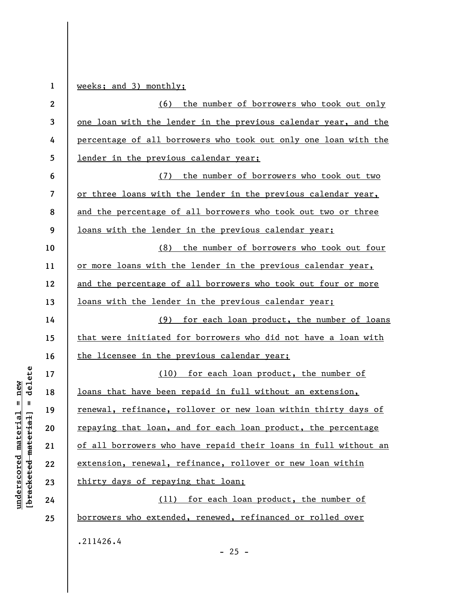| $\mathbf{1}$             | weeks; and 3) monthly;                                          |
|--------------------------|-----------------------------------------------------------------|
| $\boldsymbol{2}$         | <u>(6) the number of borrowers who took out only</u>            |
| $\mathbf{3}$             | one loan with the lender in the previous calendar year, and the |
| 4                        | percentage of all borrowers who took out only one loan with the |
| 5                        | lender in the previous calendar year;                           |
| 6                        | the number of borrowers who took out two<br>(7)                 |
| $\overline{\mathcal{L}}$ | or three loans with the lender in the previous calendar year,   |
| 8                        | and the percentage of all borrowers who took out two or three   |
| 9                        | loans with the lender in the previous calendar year;            |
| 10                       | the number of borrowers who took out four<br>(8)                |
| 11                       | or more loans with the lender in the previous calendar year,    |
| 12                       | and the percentage of all borrowers who took out four or more   |
| 13                       | loans with the lender in the previous calendar year;            |
| 14                       | for each loan product, the number of loans<br>(9)               |
| 15                       | that were initiated for borrowers who did not have a loan with  |
| 16                       | the licensee in the previous calendar year;                     |
| 17                       | (10) for each loan product, the number of                       |
| 18                       | loans that have been repaid in full without an extension,       |
| 19                       | renewal, refinance, rollover or new loan within thirty days of  |
| 20                       | repaying that loan, and for each loan product, the percentage   |
| 21                       | of all borrowers who have repaid their loans in full without an |
| 22                       | extension, renewal, refinance, rollover or new loan within      |
| 23                       | thirty days of repaying that loan;                              |
| 24                       | (11) for each loan product, the number of                       |
| 25                       | borrowers who extended, renewed, refinanced or rolled over      |
|                          | .211426.4                                                       |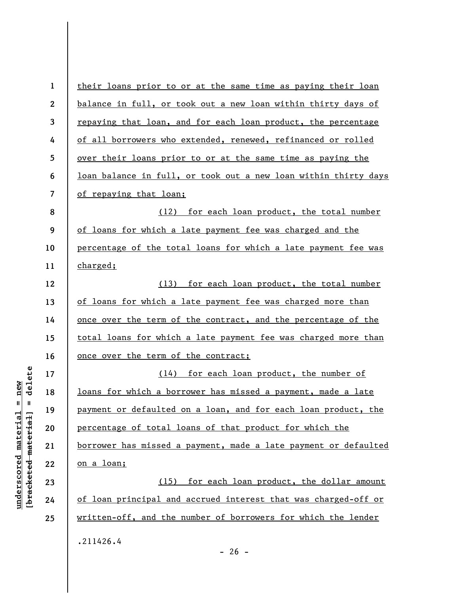| $\mathbf{1}$            | their loans prior to or at the same time as paying their loan   |
|-------------------------|-----------------------------------------------------------------|
| $\boldsymbol{2}$        | balance in full, or took out a new loan within thirty days of   |
| 3                       | repaying that loan, and for each loan product, the percentage   |
| 4                       | of all borrowers who extended, renewed, refinanced or rolled    |
| 5                       | over their loans prior to or at the same time as paying the     |
| 6                       | loan balance in full, or took out a new loan within thirty days |
| $\overline{\mathbf{z}}$ | of repaying that loan;                                          |
| 8                       | (12) for each loan product, the total number                    |
| 9                       | of loans for which a late payment fee was charged and the       |
| 10                      | percentage of the total loans for which a late payment fee was  |
| 11                      | charged;                                                        |
| 12                      | (13) for each loan product, the total number                    |
| 13                      | of loans for which a late payment fee was charged more than     |
| 14                      | once over the term of the contract, and the percentage of the   |
| 15                      | total loans for which a late payment fee was charged more than  |
| 16                      | once over the term of the contract;                             |
| 17                      | (14) for each loan product, the number of                       |
| 18                      | loans for which a borrower has missed a payment, made a late    |
| 19                      | payment or defaulted on a loan, and for each loan product, the  |
| 20                      | percentage of total loans of that product for which the         |
| 21                      | borrower has missed a payment, made a late payment or defaulted |
| 22                      | on a loan;                                                      |
| 23                      | (15) for each loan product, the dollar amount                   |
| 24                      | of loan principal and accrued interest that was charged-off or  |
| 25                      | written-off, and the number of borrowers for which the lender   |
|                         | .211426.4                                                       |

- 26 -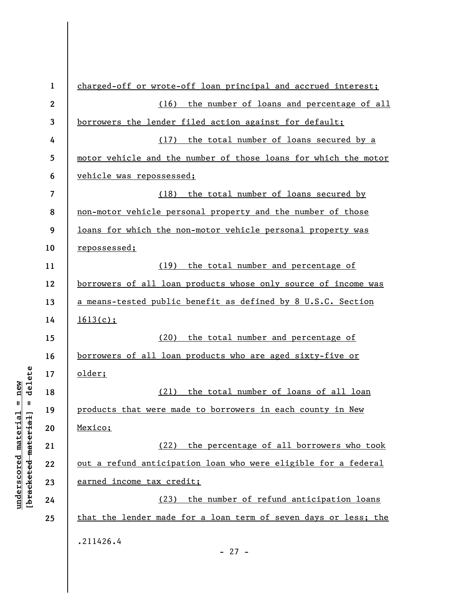| $\mathbf{1}$ | charged-off or wrote-off loan principal and accrued interest;   |
|--------------|-----------------------------------------------------------------|
| $\mathbf{2}$ | (16) the number of loans and percentage of all                  |
| 3            | borrowers the lender filed action against for default;          |
| 4            | (17) the total number of loans secured by a                     |
| 5            | motor vehicle and the number of those loans for which the motor |
| 6            | vehicle was repossessed;                                        |
| 7            | (18) the total number of loans secured by                       |
| 8            | non-motor vehicle personal property and the number of those     |
| 9            | loans for which the non-motor vehicle personal property was     |
| 10           | <u>repossessed;</u>                                             |
| 11           | (19) the total number and percentage of                         |
| 12           | borrowers of all loan products whose only source of income was  |
| 13           | a means-tested public benefit as defined by 8 U.S.C. Section    |
| 14           | 1613(c);                                                        |
| 15           | the total number and percentage of<br>(20)                      |
| 16           | borrowers of all loan products who are aged sixty-five or       |
| 17           | older;                                                          |
| 18           | (21) the total number of loans of all loan                      |
| 19           | products that were made to borrowers in each county in New      |
| 20           | Mexico;                                                         |
| 21           | (22) the percentage of all borrowers who took                   |
| 22           | out a refund anticipation loan who were eligible for a federal  |
| 23           | earned income tax credit;                                       |
| 24           | the number of refund anticipation loans<br>(23)                 |
| 25           | that the lender made for a loan term of seven days or less; the |
|              | .211426.4                                                       |
|              |                                                                 |

- 27 -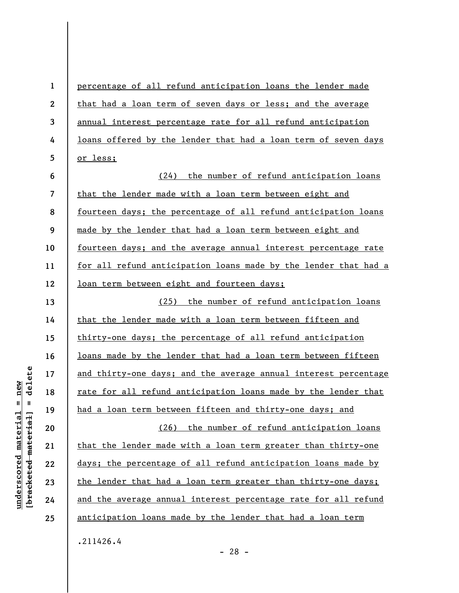| $\mathbf{1}$            | percentage of all refund anticipation loans the lender made     |  |  |  |
|-------------------------|-----------------------------------------------------------------|--|--|--|
| $\mathbf{2}$            | that had a loan term of seven days or less; and the average     |  |  |  |
| $\mathbf{3}$            | annual interest percentage rate for all refund anticipation     |  |  |  |
| 4                       | loans offered by the lender that had a loan term of seven days  |  |  |  |
| 5                       | or less;                                                        |  |  |  |
| 6                       | (24) the number of refund anticipation loans                    |  |  |  |
| $\overline{\mathbf{z}}$ | that the lender made with a loan term between eight and         |  |  |  |
| 8                       | fourteen days; the percentage of all refund anticipation loans  |  |  |  |
| 9                       | made by the lender that had a loan term between eight and       |  |  |  |
| 10                      | fourteen days; and the average annual interest percentage rate  |  |  |  |
| 11                      | for all refund anticipation loans made by the lender that had a |  |  |  |
| 12                      | loan term between eight and fourteen days;                      |  |  |  |
| 13                      | (25) the number of refund anticipation loans                    |  |  |  |
| 14                      | that the lender made with a loan term between fifteen and       |  |  |  |
| 15                      | thirty-one days; the percentage of all refund anticipation      |  |  |  |
| 16                      | loans made by the lender that had a loan term between fifteen   |  |  |  |
| 17                      | and thirty-one days; and the average annual interest percentage |  |  |  |
| 18                      | rate for all refund anticipation loans made by the lender that  |  |  |  |
| 19                      | had a loan term between fifteen and thirty-one days; and        |  |  |  |
| 20                      | (26) the number of refund anticipation loans                    |  |  |  |
| 21                      | that the lender made with a loan term greater than thirty-one   |  |  |  |
| 22                      | days; the percentage of all refund anticipation loans made by   |  |  |  |
| 23                      | the lender that had a loan term greater than thirty-one days;   |  |  |  |
| 24                      | and the average annual interest percentage rate for all refund  |  |  |  |
| 25                      | anticipation loans made by the lender that had a loan term      |  |  |  |
|                         | .211426.4                                                       |  |  |  |

 $[**bracket**et~~eted matcherial~~] = **delete**$ **[bracketed material] = delete**  $underscored material = new$ **underscored material = new**

- 28 -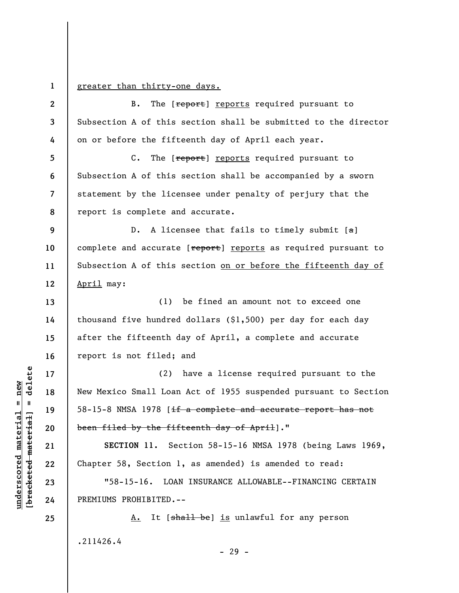**1** 

## greater than thirty-one days.

**2 3 4**  B. The [report] reports required pursuant to Subsection A of this section shall be submitted to the director on or before the fifteenth day of April each year.

**5 6 7 8**  C. The [report] reports required pursuant to Subsection A of this section shall be accompanied by a sworn statement by the licensee under penalty of perjury that the report is complete and accurate.

**9 10 11 12**  D. A licensee that fails to timely submit  $[a]$ complete and accurate [report] reports as required pursuant to Subsection A of this section on or before the fifteenth day of April may:

**13 14 15 16**  (1) be fined an amount not to exceed one thousand five hundred dollars (\$1,500) per day for each day after the fifteenth day of April, a complete and accurate report is not filed; and

(2) have a license required pursuant to the New Mexico Small Loan Act of 1955 suspended pursuant to Section 58-15-8 NMSA 1978 [if a complete and accurate report has not been filed by the fifteenth day of April]."

**SECTION 11.** Section 58-15-16 NMSA 1978 (being Laws 1969, Chapter 58, Section 1, as amended) is amended to read:

"58-15-16. LOAN INSURANCE ALLOWABLE--FINANCING CERTAIN PREMIUMS PROHIBITED.--

A. It [shall be] is unlawful for any person .211426.4

 $\frac{1}{2}$  of  $\frac{1}{2}$  and  $\frac{1}{2}$  and  $\frac{1}{2}$  and  $\frac{1}{2}$  and  $\frac{1}{2}$  and  $\frac{1}{2}$  and  $\frac{1}{2}$  and  $\frac{1}{2}$  and  $\frac{1}{2}$  and  $\frac{1}{2}$  and  $\frac{1}{2}$  and  $\frac{1}{2}$  and  $\frac{1}{2}$  and  $\frac{1}{2}$  and  $\frac{1}{2}$  an **[bracketed material] = delete**  $underscored material = new$ **underscored material = new**

**17** 

**18** 

**19** 

**20** 

**21** 

**22** 

**23** 

**24**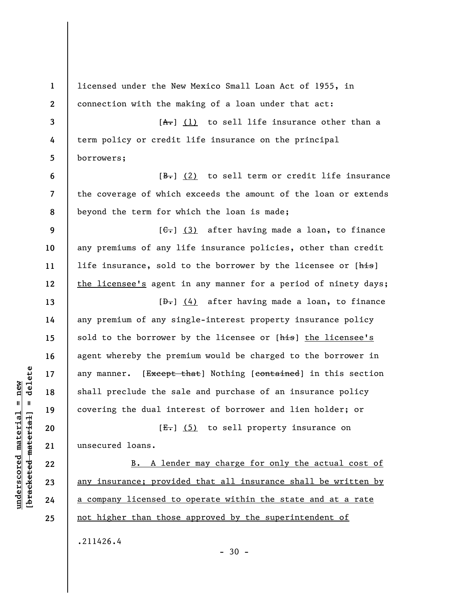| $\mathbf{1}$   | licensed under the New Mexico Small Loan Act of 1955, in              |
|----------------|-----------------------------------------------------------------------|
| $\mathbf{2}$   | connection with the making of a loan under that act:                  |
| 3              | $[A1]$ (1) to sell life insurance other than a                        |
| 4              | term policy or credit life insurance on the principal                 |
| 5              | borrowers;                                                            |
| 6              | $[\frac{B-}{C}]$ (2) to sell term or credit life insurance            |
| $\overline{7}$ | the coverage of which exceeds the amount of the loan or extends       |
| 8              | beyond the term for which the loan is made;                           |
| 9              | $[\leftarrow, 3)$ after having made a loan, to finance                |
| 10             | any premiums of any life insurance policies, other than credit        |
| 11             | life insurance, sold to the borrower by the licensee or [his]         |
| 12             | the licensee's agent in any manner for a period of ninety days;       |
| 13             | $[\frac{b}{c}, \frac{d}{d}]$ after having made a loan, to finance     |
| 14             | any premium of any single-interest property insurance policy          |
| 15             | sold to the borrower by the licensee or [his] the licensee's          |
| 16             | agent whereby the premium would be charged to the borrower in         |
| 17             | any manner. [Except that] Nothing [contained] in this section         |
| 18             | shall preclude the sale and purchase of an insurance policy           |
| 19             | covering the dual interest of borrower and lien holder; or            |
| 20             | $[\frac{E_{\bullet}}{E_{\bullet}}]$ (5) to sell property insurance on |
| 21             | unsecured loans.                                                      |
| 22             | B. A lender may charge for only the actual cost of                    |
| 23             | any insurance; provided that all insurance shall be written by        |
| 24             | a company licensed to operate within the state and at a rate          |
| 25             | not higher than those approved by the superintendent of               |
|                | .211426.4                                                             |
|                |                                                                       |

## $[**bracket**et~~eted matcherial~~] = **delete**$ **[bracketed material] = delete**  $underscored material = new$ **underscored material = new**

- 30 -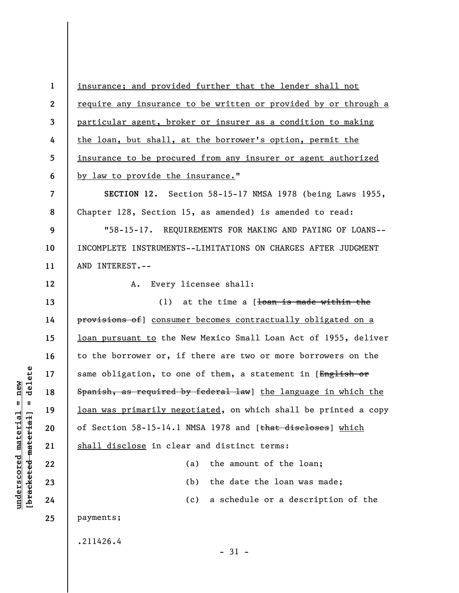**1 2 3 4 5 6 7 8 9 10 11 12 13 14 15 16 17 18 19 20 21 22 23 24 25**  insurance; and provided further that the lender shall not require any insurance to be written or provided by or through a particular agent, broker or insurer as a condition to making the loan, but shall, at the borrower's option, permit the insurance to be procured from any insurer or agent authorized by law to provide the insurance." **SECTION 12.** Section 58-15-17 NMSA 1978 (being Laws 1955, Chapter 128, Section 15, as amended) is amended to read: "58-15-17. REQUIREMENTS FOR MAKING AND PAYING OF LOANS-- INCOMPLETE INSTRUMENTS--LIMITATIONS ON CHARGES AFTER JUDGMENT AND INTEREST.-- A. Every licensee shall: (1) at the time a  $1$  toan is made within the provisions of] consumer becomes contractually obligated on a loan pursuant to the New Mexico Small Loan Act of 1955, deliver to the borrower or, if there are two or more borrowers on the same obligation, to one of them, a statement in [English or Spanish, as required by federal law] the language in which the loan was primarily negotiated, on which shall be printed a copy of Section 58-15-14.1 NMSA 1978 and [that discloses] which shall disclose in clear and distinct terms: (a) the amount of the loan; (b) the date the loan was made; (c) a schedule or a description of the payments; .211426.4 - 31 -

**underscored material = new [bracketed material] = delete**

 $underscored material = new$ 

delete

 $\mathbf{u}$ 

bracketed material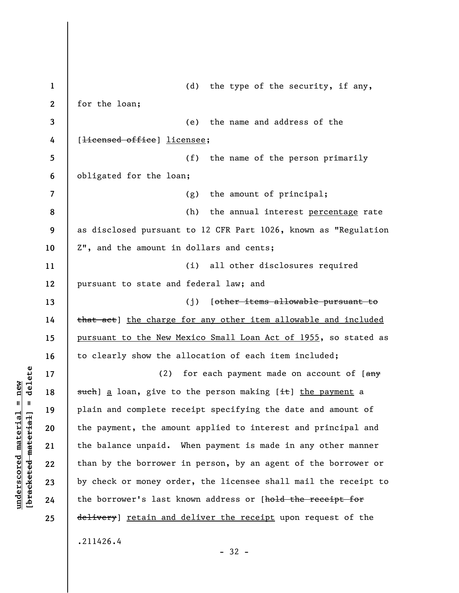**1 2 3 4 5 6 7 8 9 10 11 12 13 14 15 16 17 18 19 20 21 22 23 24 25**  (d) the type of the security, if any, for the loan; (e) the name and address of the [<del>licensed office</del>] licensee; (f) the name of the person primarily obligated for the loan; (g) the amount of principal; (h) the annual interest percentage rate as disclosed pursuant to 12 CFR Part 1026, known as "Regulation Z", and the amount in dollars and cents; (i) all other disclosures required pursuant to state and federal law; and (j) [other items allowable pursuant to that act] the charge for any other item allowable and included pursuant to the New Mexico Small Loan Act of 1955, so stated as to clearly show the allocation of each item included; (2) for each payment made on account of  $\left[\frac{amy}{2}\right]$ such] a loan, give to the person making [it] the payment a plain and complete receipt specifying the date and amount of the payment, the amount applied to interest and principal and the balance unpaid. When payment is made in any other manner than by the borrower in person, by an agent of the borrower or by check or money order, the licensee shall mail the receipt to the borrower's last known address or [hold the receipt for delivery] retain and deliver the receipt upon request of the .211426.4

 $\frac{1}{2}$  of  $\frac{1}{2}$  and  $\frac{1}{2}$  and  $\frac{1}{2}$  and  $\frac{1}{2}$  and  $\frac{1}{2}$  and  $\frac{1}{2}$  and  $\frac{1}{2}$  and  $\frac{1}{2}$  and  $\frac{1}{2}$  and  $\frac{1}{2}$  and  $\frac{1}{2}$  and  $\frac{1}{2}$  and  $\frac{1}{2}$  and  $\frac{1}{2}$  and  $\frac{1}{2}$  an **[bracketed material] = delete**  $underscored material = new$ **underscored material = new**

- 32 -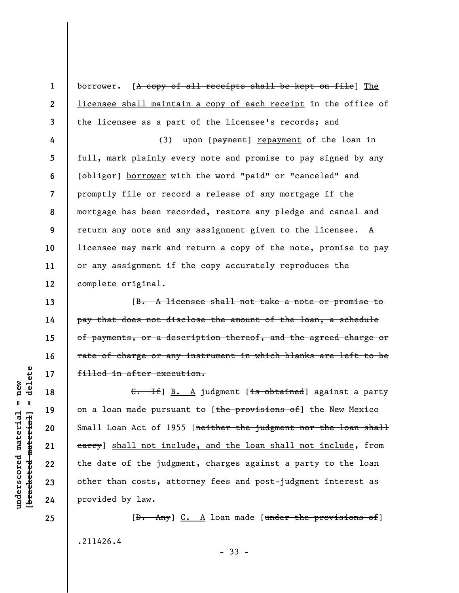borrower. [A copy of all receipts shall be kept on file] The licensee shall maintain a copy of each receipt in the office of the licensee as a part of the licensee's records; and

**4 5 6 7 8 9 10 11 12**  (3) upon [payment] repayment of the loan in full, mark plainly every note and promise to pay signed by any [obligor] borrower with the word "paid" or "canceled" and promptly file or record a release of any mortgage if the mortgage has been recorded, restore any pledge and cancel and return any note and any assignment given to the licensee. A licensee may mark and return a copy of the note, promise to pay or any assignment if the copy accurately reproduces the complete original.

[B. A licensee shall not take a note or promise to pay that does not disclose the amount of the loan, a schedule of payments, or a description thereof, and the agreed charge or rate of charge or any instrument in which blanks are left to be filled in after execution.

G. If] B. A judgment [is obtained] against a party on a loan made pursuant to [the provisions of] the New Mexico Small Loan Act of 1955 [neither the judgment nor the loan shall earry) shall not include, and the loan shall not include, from the date of the judgment, charges against a party to the loan other than costs, attorney fees and post-judgment interest as provided by law.

 $[\theta - \text{Any}]$   $C.$   $A$  loan made [under the provisions of] .211426.4 - 33 -

 $\frac{1}{2}$ **[bracketed material] = delete**  $anderscored material = new$ **underscored material = new**

**25** 

**1** 

**2** 

**3** 

**13** 

**14** 

**15** 

**16** 

**17** 

**18** 

**19** 

**20** 

**21** 

**22** 

**23**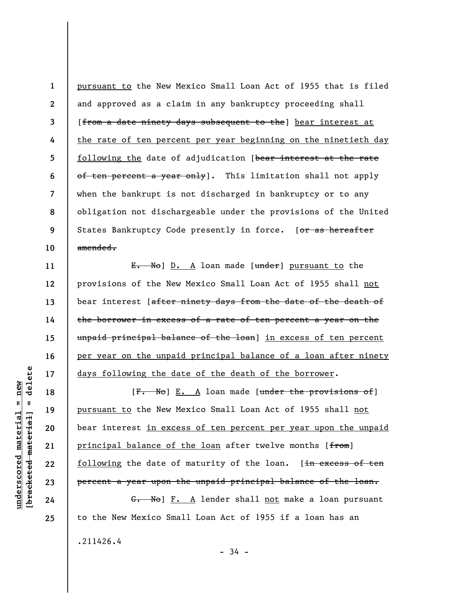**1 2 3 4 5 6 7 8 9 10**  pursuant to the New Mexico Small Loan Act of 1955 that is filed and approved as a claim in any bankruptcy proceeding shall [from a date ninety days subsequent to the] bear interest at the rate of ten percent per year beginning on the ninetieth day following the date of adjudication [bear interest at the rate of ten percent a year only]. This limitation shall not apply when the bankrupt is not discharged in bankruptcy or to any obligation not dischargeable under the provisions of the United States Bankruptcy Code presently in force. [or as hereafter amended.

E. No] D. A loan made [under] pursuant to the provisions of the New Mexico Small Loan Act of 1955 shall not bear interest [after ninety days from the date of the death of the borrower in excess of a rate of ten percent a year on the unpaid principal balance of the loan] in excess of ten percent per year on the unpaid principal balance of a loan after ninety days following the date of the death of the borrower.

 $[F.$  No] E. A loan made [under the provisions of] pursuant to the New Mexico Small Loan Act of 1955 shall not bear interest in excess of ten percent per year upon the unpaid principal balance of the loan after twelve months [from] following the date of maturity of the loan. [in excess of ten percent a year upon the unpaid principal balance of the loan.

G. No] F. A lender shall not make a loan pursuant to the New Mexico Small Loan Act of 1955 if a loan has an .211426.4

delete **[bracketed material] = delete**  $underscored material = new$ **underscored material = new**  $\mathbf{I}$ bracketed material

**11** 

**12** 

**13** 

**14** 

**15** 

**16** 

**17** 

**18** 

**19** 

**20** 

**21** 

**22** 

**23** 

**24**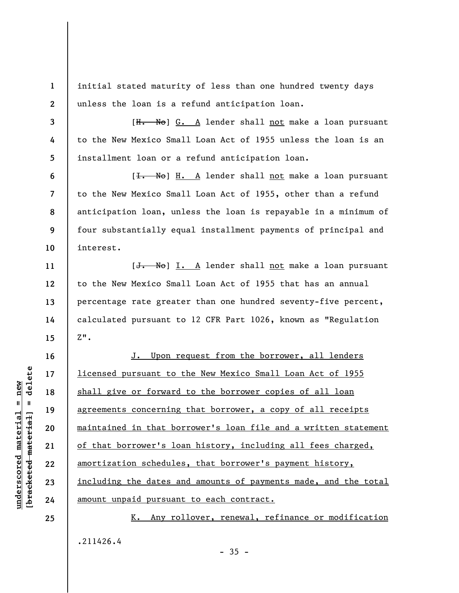initial stated maturity of less than one hundred twenty days unless the loan is a refund anticipation loan.

[H. No] G. A lender shall not make a loan pursuant to the New Mexico Small Loan Act of 1955 unless the loan is an installment loan or a refund anticipation loan.

[<del>I. No</del>] H. A lender shall not make a loan pursuant to the New Mexico Small Loan Act of 1955, other than a refund anticipation loan, unless the loan is repayable in a minimum of four substantially equal installment payments of principal and interest.

[J. No] I. A lender shall not make a loan pursuant to the New Mexico Small Loan Act of 1955 that has an annual percentage rate greater than one hundred seventy-five percent, calculated pursuant to 12 CFR Part 1026, known as "Regulation  $Z$ ".

J. Upon request from the borrower, all lenders licensed pursuant to the New Mexico Small Loan Act of 1955 shall give or forward to the borrower copies of all loan agreements concerning that borrower, a copy of all receipts maintained in that borrower's loan file and a written statement of that borrower's loan history, including all fees charged, amortization schedules, that borrower's payment history, including the dates and amounts of payments made, and the total amount unpaid pursuant to each contract.

K. Any rollover, renewal, refinance or modification .211426.4

 $\frac{1}{2}$  intereted material = delete **[bracketed material] = delete**  $underscored material = new$ **underscored material = new**

**1** 

**2** 

**3** 

**4** 

**5** 

**6** 

**7** 

**8** 

**9** 

**10** 

**11** 

**12** 

**13** 

**14** 

**15** 

**16** 

**17** 

**18** 

**19** 

**20** 

**21** 

**22** 

**23** 

**24** 

**25** 

 $-35 -$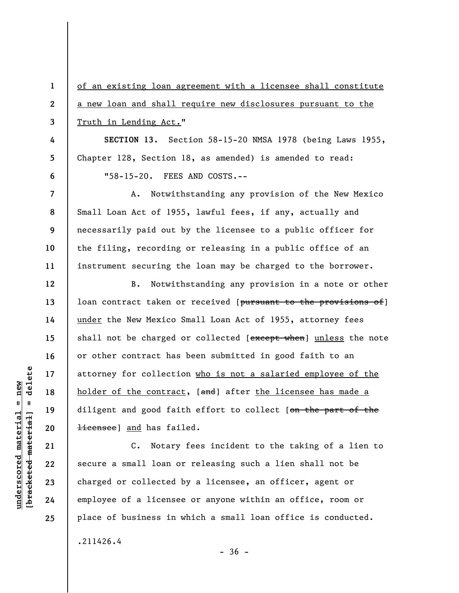**1 2 3 4 5 6 7 8 9 10 11 12 13 14 15 16 17 18 19 20 21 22 23 24**  of an existing loan agreement with a licensee shall constitute a new loan and shall require new disclosures pursuant to the Truth in Lending Act." **SECTION 13.** Section 58-15-20 NMSA 1978 (being Laws 1955, Chapter 128, Section 18, as amended) is amended to read: "58-15-20. FEES AND COSTS.-- A. Notwithstanding any provision of the New Mexico Small Loan Act of 1955, lawful fees, if any, actually and necessarily paid out by the licensee to a public officer for the filing, recording or releasing in a public office of an instrument securing the loan may be charged to the borrower. B. Notwithstanding any provision in a note or other loan contract taken or received [pursuant to the provisions of] under the New Mexico Small Loan Act of 1955, attorney fees shall not be charged or collected [except when] unless the note or other contract has been submitted in good faith to an attorney for collection who is not a salaried employee of the holder of the contract, [and] after the licensee has made a diligent and good faith effort to collect [on the part of the **licensee**] and has failed. C. Notary fees incident to the taking of a lien to secure a small loan or releasing such a lien shall not be charged or collected by a licensee, an officer, agent or employee of a licensee or anyone within an office, room or

 $\frac{1}{2}$  intereted material = delete **[bracketed material] = delete**  $anderscored material = new$ **underscored material = new**

**25** 

.211426.4

 $-36 -$ 

place of business in which a small loan office is conducted.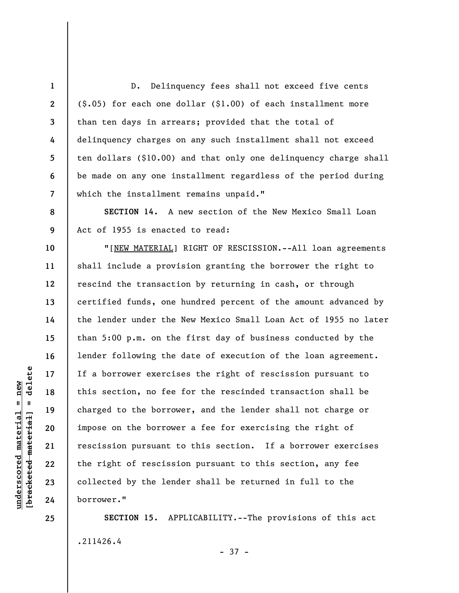D. Delinquency fees shall not exceed five cents (\$.05) for each one dollar (\$1.00) of each installment more than ten days in arrears; provided that the total of delinquency charges on any such installment shall not exceed ten dollars (\$10.00) and that only one delinquency charge shall be made on any one installment regardless of the period during which the installment remains unpaid."

**SECTION 14.** A new section of the New Mexico Small Loan Act of 1955 is enacted to read:

"[NEW MATERIAL] RIGHT OF RESCISSION.--All loan agreements shall include a provision granting the borrower the right to rescind the transaction by returning in cash, or through certified funds, one hundred percent of the amount advanced by the lender under the New Mexico Small Loan Act of 1955 no later than 5:00 p.m. on the first day of business conducted by the lender following the date of execution of the loan agreement. If a borrower exercises the right of rescission pursuant to this section, no fee for the rescinded transaction shall be charged to the borrower, and the lender shall not charge or impose on the borrower a fee for exercising the right of rescission pursuant to this section. If a borrower exercises the right of rescission pursuant to this section, any fee collected by the lender shall be returned in full to the borrower."

**SECTION 15.** APPLICABILITY.--The provisions of this act .211426.4

- 37 -

**1** 

**2** 

**3** 

**4** 

**5** 

**6** 

**7** 

**8** 

**9** 

**10** 

**11** 

**12** 

**13** 

**14** 

**15** 

**16** 

**17** 

**18** 

**19** 

**20** 

**21** 

**22** 

**23** 

**24**